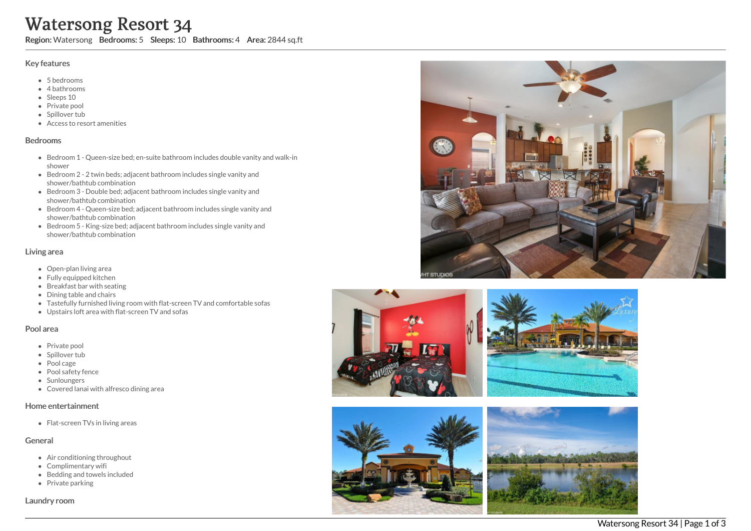# Watersong Resort 34

Region: Watersong Bedrooms: 5 Sleeps: 10 Bathrooms: 4 Area: 2844 sq.ft

#### Key features

- 5 b e d r o o m s
- 4 bathrooms
- Sleeps 10
- Private pool
- Spillover tub
- Access to resort amenities

#### **Bedrooms**

- Bedroom 1 Queen-size bed; en-suite bathroom includes double vanity and walk-in s h o w e r
- Bedroom 2 2 twin beds; adjacent bathroom includes single vanity and shower/bathtub combination
- Bedroom 3 Double bed; adjacent bathroom includes single vanity and shower/bathtub combination
- Bedroom 4 Queen-size bed; adjacent bathroom includes single vanity and shower/bathtub combination
- Bedroom 5 King-size bed; adjacent bathroom includes single vanity and shower/bathtub combination

#### Living area

- Open-plan living area
- Fully equipped kitchen
- Breakfast bar with seating
- Dining table and chairs
- Tastefully furnished living room with flat-screen TV and comfortable sofas
- Upstairs loft area with flat-screen TV and sofas

#### Pool area

- Private pool
- Spillover tub
- Pool cage
- Pool safety fence
- **Sunloungers**
- Covered lanai with alfresco dining area

#### Home entertainment

Flat-screen TVs in living areas

#### General

- Air conditioning throughout
- Complimentary wifi
- Bedding and towels in clu d e d
- Private parking

Laundry room









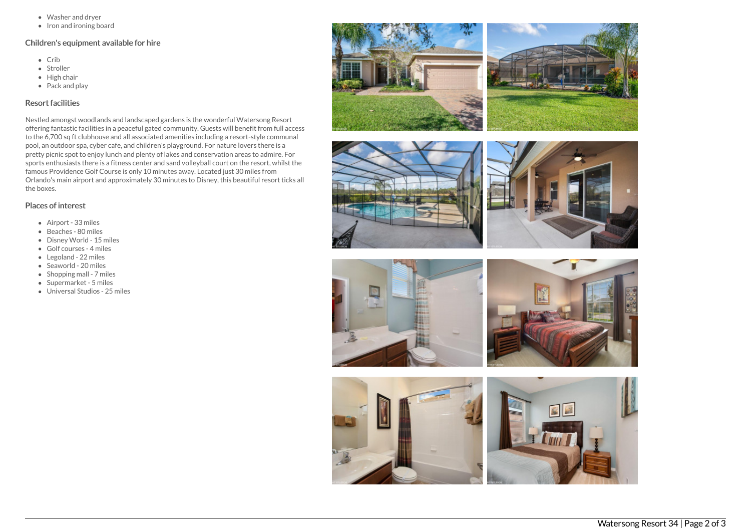- Washer and dryer
- Iron and ironing board

## Children's equipment available for hire

- Crib
- Stroller
- $\bullet$  High chair
- Pack and play

## Resort facilities

Nestled amongst woodlands and landscaped gardens is the wonderful Watersong Resort offering fantastic facilities in a peaceful gated community. Guests will benefit from full access to the 6,700 sq ft clubhouse and all associated amenities including a resort-style communal pool, an outdoor spa, cyber cafe, and children's playground. For nature lovers there is a pretty picnic spot to enjoy lunch and plenty of lakes and conservation areas to admire. For sports enthusiasts there is a fitness center and sand volleyball court on the resort, whilst the famous Providence Golf Course is only 10 minutes away. Located just 30 miles from Orlando's main airport and approximately 30 minutes to Disney, this beautiful resort ticks all the boxes.

### Places of interest

- Airport 33 miles
- Beaches 80 miles
- Disney World 15 miles
- Golf courses 4 miles
- Legoland 22 miles
- Seaworld 20 miles
- Shopping mall 7 miles
- Supermarket 5 miles
- Universal Studios 25 miles